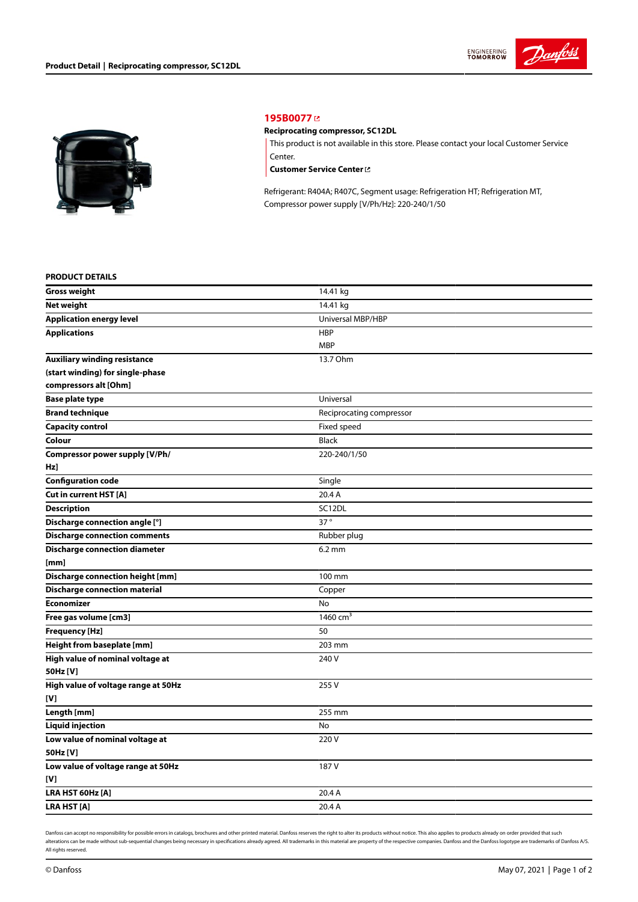



## **[195B0077](https://store.danfoss.com/en/Climate-Solutions-for-cooling/Compressors/Compressors-for-Refrigeration/Danfoss-Light-Commercial-Refrigeration-Compressors/Reciprocating-compressor%2C-SC12DL/p/195B0077)**

## **Reciprocating compressor, SC12DL**

This product is not available in this store. Please contact your local Customer Service Center.

**[Customer](https://store.danfoss.com/en/customer-service) Service Center**

Refrigerant: R404A; R407C, Segment usage: Refrigeration HT; Refrigeration MT, Compressor power supply [V/Ph/Hz]: 220-240/1/50

## **PRODUCT DETAILS**

| <b>Gross weight</b>                     | 14.41 kg                 |  |
|-----------------------------------------|--------------------------|--|
| Net weight                              | 14.41 kg                 |  |
| <b>Application energy level</b>         | Universal MBP/HBP        |  |
| <b>Applications</b>                     | <b>HBP</b>               |  |
|                                         | <b>MBP</b>               |  |
| <b>Auxiliary winding resistance</b>     | 13.7 Ohm                 |  |
| (start winding) for single-phase        |                          |  |
| compressors alt [Ohm]                   |                          |  |
| <b>Base plate type</b>                  | Universal                |  |
| <b>Brand technique</b>                  | Reciprocating compressor |  |
| <b>Capacity control</b>                 | Fixed speed              |  |
| Colour                                  | <b>Black</b>             |  |
| Compressor power supply [V/Ph/          | 220-240/1/50             |  |
| Hz]                                     |                          |  |
| <b>Configuration code</b>               | Single                   |  |
| <b>Cut in current HST [A]</b>           | 20.4 A                   |  |
| <b>Description</b>                      | SC12DL                   |  |
| Discharge connection angle [°]          | $37^\circ$               |  |
| <b>Discharge connection comments</b>    | Rubber plug              |  |
| <b>Discharge connection diameter</b>    | $6.2$ mm                 |  |
| [mm]                                    |                          |  |
| <b>Discharge connection height [mm]</b> | 100 mm                   |  |
| <b>Discharge connection material</b>    | Copper                   |  |
| <b>Economizer</b>                       | No                       |  |
| Free gas volume [cm3]                   | 1460 $cm3$               |  |
| <b>Frequency [Hz]</b>                   | 50                       |  |
| Height from baseplate [mm]              | 203 mm                   |  |
| High value of nominal voltage at        | 240 V                    |  |
| 50Hz [V]                                |                          |  |
| High value of voltage range at 50Hz     | 255V                     |  |
| [V]                                     |                          |  |
| Length [mm]                             | 255 mm                   |  |
| <b>Liquid injection</b>                 | No                       |  |
| Low value of nominal voltage at         | 220V                     |  |
| 50Hz [V]                                |                          |  |
| Low value of voltage range at 50Hz      | 187 V                    |  |
| [V]                                     |                          |  |
| LRA HST 60Hz [A]                        | 20.4 A                   |  |
| <b>LRA HST[A]</b>                       | 20.4 A                   |  |

Danfoss can accept no responsibility for possible errors in catalogs, brochures and other printed material. Danfoss reserves the right to alter its products without notice. This also applies to products already on order pr alterations can be made without sub-sequential changes being necessary in specifications already agreed. All trademarks in this material are property of the respective companies. Danfoss and the Danfoss logotype are tradem All rights reserved.